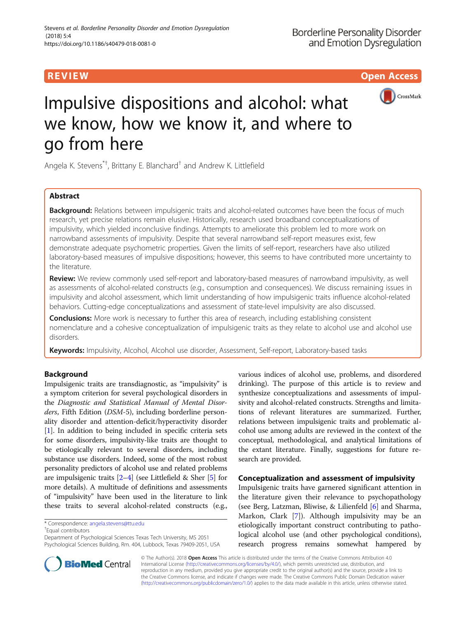R EVI EW Open Access



# Impulsive dispositions and alcohol: what we know, how we know it, and where to go from here

Angela K. Stevens<sup>\*†</sup>, Brittany E. Blanchard<sup>†</sup> and Andrew K. Littlefield

# Abstract

**Background:** Relations between impulsigenic traits and alcohol-related outcomes have been the focus of much research, yet precise relations remain elusive. Historically, research used broadband conceptualizations of impulsivity, which yielded inconclusive findings. Attempts to ameliorate this problem led to more work on narrowband assessments of impulsivity. Despite that several narrowband self-report measures exist, few demonstrate adequate psychometric properties. Given the limits of self-report, researchers have also utilized laboratory-based measures of impulsive dispositions; however, this seems to have contributed more uncertainty to the literature.

Review: We review commonly used self-report and laboratory-based measures of narrowband impulsivity, as well as assessments of alcohol-related constructs (e.g., consumption and consequences). We discuss remaining issues in impulsivity and alcohol assessment, which limit understanding of how impulsigenic traits influence alcohol-related behaviors. Cutting-edge conceptualizations and assessment of state-level impulsivity are also discussed.

**Conclusions:** More work is necessary to further this area of research, including establishing consistent nomenclature and a cohesive conceptualization of impulsigenic traits as they relate to alcohol use and alcohol use disorders.

Keywords: Impulsivity, Alcohol, Alcohol use disorder, Assessment, Self-report, Laboratory-based tasks

# Background

Impulsigenic traits are transdiagnostic, as "impulsivity" is a symptom criterion for several psychological disorders in the Diagnostic and Statistical Manual of Mental Disorders, Fifth Edition (DSM-5), including borderline personality disorder and attention-deficit/hyperactivity disorder [[1\]](#page-7-0). In addition to being included in specific criteria sets for some disorders, impulsivity-like traits are thought to be etiologically relevant to several disorders, including substance use disorders. Indeed, some of the most robust personality predictors of alcohol use and related problems are impulsigenic traits  $[2-4]$  $[2-4]$  $[2-4]$  (see Littlefield & Sher [\[5\]](#page-8-0) for more details). A multitude of definitions and assessments of "impulsivity" have been used in the literature to link these traits to several alcohol-related constructs (e.g.,

Equal contributors

Department of Psychological Sciences Texas Tech University, MS 2051 Psychological Sciences Building, Rm. 404, Lubbock, Texas 79409-2051, USA



# Conceptualization and assessment of impulsivity

Impulsigenic traits have garnered significant attention in the literature given their relevance to psychopathology (see Berg, Latzman, Bliwise, & Lilienfeld [\[6](#page-8-0)] and Sharma, Markon, Clark [\[7](#page-8-0)]). Although impulsivity may be an etiologically important construct contributing to pathological alcohol use (and other psychological conditions), research progress remains somewhat hampered by



© The Author(s). 2018 Open Access This article is distributed under the terms of the Creative Commons Attribution 4.0 International License [\(http://creativecommons.org/licenses/by/4.0/](http://creativecommons.org/licenses/by/4.0/)), which permits unrestricted use, distribution, and reproduction in any medium, provided you give appropriate credit to the original author(s) and the source, provide a link to the Creative Commons license, and indicate if changes were made. The Creative Commons Public Domain Dedication waiver [\(http://creativecommons.org/publicdomain/zero/1.0/](http://creativecommons.org/publicdomain/zero/1.0/)) applies to the data made available in this article, unless otherwise stated.

<sup>\*</sup> Correspondence: [angela.stevens@ttu.edu](mailto:angela.stevens@ttu.edu) †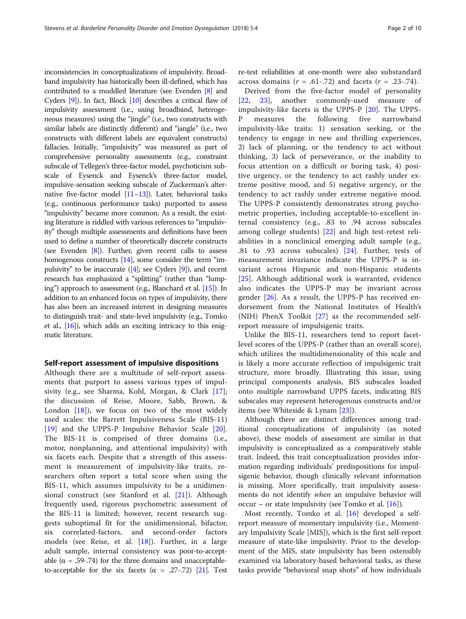inconsistencies in conceptualizations of impulsivity. Broadband impulsivity has historically been ill-defined, which has contributed to a muddled literature (see Evenden [\[8\]](#page-8-0) and Cyders [[9](#page-8-0)]). In fact, Block [\[10\]](#page-8-0) describes a critical flaw of impulsivity assessment (i.e., using broadband, heterogeneous measures) using the "jingle" (i.e., two constructs with similar labels are distinctly different) and "jangle" (i.e., two constructs with different labels are equivalent constructs) fallacies. Initially, "impulsivity" was measured as part of comprehensive personality assessments (e.g., constraint subscale of Tellegen's three-factor model, psychoticism subscale of Eysenck and Eysenck's three-factor model, impulsive-sensation seeking subscale of Zuckerman's alternative five-factor model  $[11–13]$  $[11–13]$  $[11–13]$  $[11–13]$ ). Later, behavioral tasks (e.g., continuous performance tasks) purported to assess "impulsivity" became more common. As a result, the existing literature is riddled with various references to "impulsivity" though multiple assessments and definitions have been used to define a number of theoretically discrete constructs (see Evenden  $[8]$  $[8]$  $[8]$ ). Further, given recent calls to assess homogenous constructs [\[14\]](#page-8-0), some consider the term "impulsivity" to be inaccurate  $([4]$  $([4]$  $([4]$ ; see Cyders [[9\]](#page-8-0)), and recent research has emphasized a "splitting" (rather than "lumping") approach to assessment (e.g., Blanchard et al. [[15](#page-8-0)]). In addition to an enhanced focus on types of impulsivity, there has also been an increased interest in designing measures to distinguish trait- and state-level impulsivity (e.g., Tomko et al.,  $[16]$ ), which adds an exciting intricacy to this enigmatic literature.

# Self-report assessment of impulsive dispositions

Although there are a multitude of self-report assessments that purport to assess various types of impulsivity (e.g., see Sharma, Kohl, Morgan, & Clark [[17](#page-8-0)]; the discussion of Reise, Moore, Sabb, Brown, & London [[18](#page-8-0)]), we focus on two of the most widely used scales: the Barrett Impulsiveness Scale (BIS-11) [[19\]](#page-8-0) and the UPPS-P Impulsive Behavior Scale [\[20](#page-8-0)]. The BIS-11 is comprised of three domains (i.e., motor, nonplanning, and attentional impulsivity) with six facets each. Despite that a strength of this assessment is measurement of impulsivity-like traits, researchers often report a total score when using the BIS-11, which assumes impulsivity to be a unidimensional construct (see Stanford et al. [[21\]](#page-8-0)). Although frequently used, rigorous psychometric assessment of the BIS-11 is limited; however, recent research suggests suboptimal fit for the unidimensional, bifactor, six correlated-factors, and second-order factors models (see Reise, et al. [[18\]](#page-8-0)). Further, in a large adult sample, internal consistency was poor-to-acceptable ( $\alpha$  = .59-.74) for the three domains and unacceptableto-acceptable for the six facets  $(\alpha = .27-.72)$  [\[21\]](#page-8-0). Test

re-test reliabilities at one-month were also substandard across domains  $(r = .61-.72)$  and facets  $(r = .23-.74)$ .

Derived from the five-factor model of personality [[22,](#page-8-0) [23](#page-8-0)], another commonly-used measure of impulsivity-like facets is the UPPS-P [\[20](#page-8-0)]. The UPPS-P measures the following five narrowband impulsivity-like traits: 1) sensation seeking, or the tendency to engage in new and thrilling experiences, 2) lack of planning, or the tendency to act without thinking, 3) lack of perseverance, or the inability to focus attention on a difficult or boring task, 4) positive urgency, or the tendency to act rashly under extreme positive mood, and 5) negative urgency, or the tendency to act rashly under extreme negative mood. The UPPS-P consistently demonstrates strong psychometric properties, including acceptable-to-excellent internal consistency (e.g., .83 to .94 across subscales among college students) [[22](#page-8-0)] and high test-retest reliabilities in a nonclinical emerging adult sample (e.g., .81 to .93 across subscales)  $[24]$  $[24]$ . Further, tests of measurement invariance indicate the UPPS-P is invariant across Hispanic and non-Hispanic students [[25\]](#page-8-0). Although additional work is warranted, evidence also indicates the UPPS-P may be invariant across gender [\[26](#page-8-0)]. As a result, the UPPS-P has received endorsement from the National Institutes of Health's (NIH) PhenX Toolkit [\[27](#page-8-0)] as the recommended selfreport measure of impulsigenic traits.

Unlike the BIS-11, researchers tend to report facetlevel scores of the UPPS-P (rather than an overall score), which utilizes the multidimensionality of this scale and is likely a more accurate reflection of impulsigenic trait structure, more broadly. Illustrating this issue, using principal components analysis, BIS subscales loaded onto multiple narrowband UPPS facets, indicating BIS subscales may represent heterogenous constructs and/or items (see Whiteside & Lynam [[23\]](#page-8-0)).

Although there are distinct differences among traditional conceptualizations of impulsivity (as noted above), these models of assessment are similar in that impulsivity is conceptualized as a comparatively stable trait. Indeed, this trait conceptualization provides information regarding individuals' predispositions for impulsigenic behavior, though clinically relevant information is missing. More specifically, trait impulsivity assessments do not identify when an impulsive behavior will occur – or state impulsivity (see Tomko et al.  $[16]$  $[16]$ ).

Most recently, Tomko et al.  $[16]$  $[16]$  developed a selfreport measure of momentary impulsivity (i.e., Momentary Impulsivity Scale [MIS]), which is the first self-report measure of state-like impulsivity. Prior to the development of the MIS, state impulsivity has been ostensibly examined via laboratory-based behavioral tasks, as these tasks provide "behavioral snap shots" of how individuals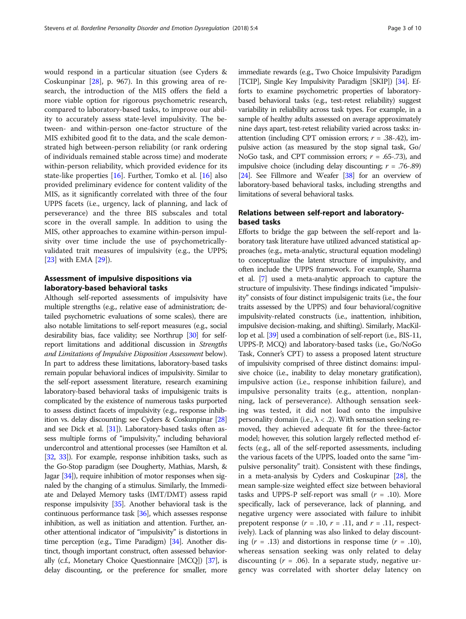would respond in a particular situation (see Cyders & Coskunpinar [\[28\]](#page-8-0), p. 967). In this growing area of research, the introduction of the MIS offers the field a more viable option for rigorous psychometric research, compared to laboratory-based tasks, to improve our ability to accurately assess state-level impulsivity. The between- and within-person one-factor structure of the MIS exhibited good fit to the data, and the scale demonstrated high between-person reliability (or rank ordering of individuals remained stable across time) and moderate within-person reliability, which provided evidence for its state-like properties [[16\]](#page-8-0). Further, Tomko et al. [\[16](#page-8-0)] also provided preliminary evidence for content validity of the MIS, as it significantly correlated with three of the four UPPS facets (i.e., urgency, lack of planning, and lack of perseverance) and the three BIS subscales and total score in the overall sample. In addition to using the MIS, other approaches to examine within-person impulsivity over time include the use of psychometricallyvalidated trait measures of impulsivity (e.g., the UPPS; [[23\]](#page-8-0) with EMA [[29\]](#page-8-0)).

# Assessment of impulsive dispositions via laboratory-based behavioral tasks

Although self-reported assessments of impulsivity have multiple strengths (e.g., relative ease of administration; detailed psychometric evaluations of some scales), there are also notable limitations to self-report measures (e.g., social desirability bias, face validity; see Northrup [\[30\]](#page-8-0) for selfreport limitations and additional discussion in Strengths and Limitations of Impulsive Disposition Assessment below). In part to address these limitations, laboratory-based tasks remain popular behavioral indices of impulsivity. Similar to the self-report assessment literature, research examining laboratory-based behavioral tasks of impulsigenic traits is complicated by the existence of numerous tasks purported to assess distinct facets of impulsivity (e.g., response inhibition vs. delay discounting; see Cyders & Coskunpinar [\[28](#page-8-0)] and see Dick et al. [\[31](#page-8-0)]). Laboratory-based tasks often assess multiple forms of "impulsivity," including behavioral undercontrol and attentional processes (see Hamilton et al. [[32](#page-8-0), [33\]](#page-8-0)). For example, response inhibition tasks, such as the Go-Stop paradigm (see Dougherty, Mathias, Marsh, & Jagar [[34](#page-8-0)]), require inhibition of motor responses when signaled by the changing of a stimulus. Similarly, the Immediate and Delayed Memory tasks (IMT/DMT) assess rapid response impulsivity [\[35](#page-8-0)]. Another behavioral task is the continuous performance task [\[36\]](#page-8-0), which assesses response inhibition, as well as initiation and attention. Further, another attentional indicator of "impulsivity" is distortions in time perception (e.g., Time Paradigm) [[34](#page-8-0)]. Another distinct, though important construct, often assessed behaviorally (c.f., Monetary Choice Questionnaire [MCQ]) [[37](#page-8-0)], is delay discounting, or the preference for smaller, more

immediate rewards (e.g., Two Choice Impulsivity Paradigm [TCIP], Single Key Impulsivity Paradigm [SKIP]) [[34\]](#page-8-0). Efforts to examine psychometric properties of laboratorybased behavioral tasks (e.g., test-retest reliability) suggest variability in reliability across task types. For example, in a sample of healthy adults assessed on average approximately nine days apart, test-retest reliability varied across tasks: inattention (including CPT omission errors;  $r = .38-.42$ ), impulsive action (as measured by the stop signal task, Go/ NoGo task, and CPT commission errors;  $r = .65-.73$ ), and impulsive choice (including delay discounting;  $r = .76-.89$ ) [[24](#page-8-0)]. See Fillmore and Weafer [\[38\]](#page-8-0) for an overview of laboratory-based behavioral tasks, including strengths and limitations of several behavioral tasks.

# Relations between self-report and laboratorybased tasks

Efforts to bridge the gap between the self-report and laboratory task literature have utilized advanced statistical approaches (e.g., meta-analytic, structural equation modeling) to conceptualize the latent structure of impulsivity, and often include the UPPS framework. For example, Sharma et al. [\[7\]](#page-8-0) used a meta-analytic approach to capture the structure of impulsivity. These findings indicated "impulsivity" consists of four distinct impulsigenic traits (i.e., the four traits assessed by the UPPS) and four behavioral/cognitive impulsivity-related constructs (i.e., inattention, inhibition, impulsive decision-making, and shifting). Similarly, MacKillop et al. [[39](#page-8-0)] used a combination of self-report (i.e., BIS-11, UPPS-P, MCQ) and laboratory-based tasks (i.e., Go/NoGo Task, Conner's CPT) to assess a proposed latent structure of impulsivity comprised of three distinct domains: impulsive choice (i.e., inability to delay monetary gratification), impulsive action (i.e., response inhibition failure), and impulsive personality traits (e.g., attention, nonplanning, lack of perseverance). Although sensation seeking was tested, it did not load onto the impulsive personality domain (i.e.,  $\lambda <$  .2). With sensation seeking removed, they achieved adequate fit for the three-factor model; however, this solution largely reflected method effects (e.g., all of the self-reported assessments, including the various facets of the UPPS, loaded onto the same "impulsive personality" trait). Consistent with these findings, in a meta-analysis by Cyders and Coskupinar [\[28\]](#page-8-0), the mean sample-size weighted effect size between behavioral tasks and UPPS-P self-report was small  $(r = .10)$ . More specifically, lack of perseverance, lack of planning, and negative urgency were associated with failure to inhibit prepotent response ( $r = .10$ ,  $r = .11$ , and  $r = .11$ , respectively). Lack of planning was also linked to delay discounting  $(r = .13)$  and distortions in response time  $(r = .10)$ , whereas sensation seeking was only related to delay discounting  $(r = .06)$ . In a separate study, negative urgency was correlated with shorter delay latency on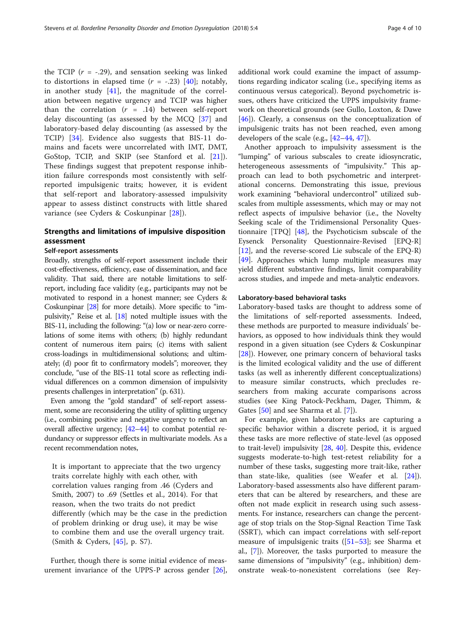the TCIP  $(r = -.29)$ , and sensation seeking was linked to distortions in elapsed time  $(r = -.23)$  [[40\]](#page-8-0); notably, in another study [[41\]](#page-8-0), the magnitude of the correlation between negative urgency and TCIP was higher than the correlation  $(r = .14)$  between self-report delay discounting (as assessed by the MCQ [[37](#page-8-0)] and laboratory-based delay discounting (as assessed by the TCIP) [[34\]](#page-8-0). Evidence also suggests that BIS-11 domains and facets were uncorrelated with IMT, DMT, GoStop, TCIP, and SKIP (see Stanford et al. [[21\]](#page-8-0)). These findings suggest that prepotent response inhibition failure corresponds most consistently with selfreported impulsigenic traits; however, it is evident that self-report and laboratory-assessed impulsivity appear to assess distinct constructs with little shared variance (see Cyders & Coskunpinar [[28](#page-8-0)]).

# Strengths and limitations of impulsive disposition assessment

#### Self-report assessments

Broadly, strengths of self-report assessment include their cost-effectiveness, efficiency, ease of dissemination, and face validity. That said, there are notable limitations to selfreport, including face validity (e.g., participants may not be motivated to respond in a honest manner; see Cyders & Coskunpinar [\[28](#page-8-0)] for more details). More specific to "impulsivity," Reise et al. [\[18\]](#page-8-0) noted multiple issues with the BIS-11, including the following: "(a) low or near-zero correlations of some items with others; (b) highly redundant content of numerous item pairs; (c) items with salient cross-loadings in multidimensional solutions; and ultimately; (d) poor fit to confirmatory models"; moreover, they conclude, "use of the BIS-11 total score as reflecting individual differences on a common dimension of impulsivity presents challenges in interpretation" (p. 631).

Even among the "gold standard" of self-report assessment, some are reconsidering the utility of splitting urgency (i.e., combining positive and negative urgency to reflect an overall affective urgency; [\[42](#page-8-0)–[44\]](#page-8-0) to combat potential redundancy or suppressor effects in multivariate models. As a recent recommendation notes,

It is important to appreciate that the two urgency traits correlate highly with each other, with correlation values ranging from .46 (Cyders and Smith, 2007) to .69 (Settles et al., 2014). For that reason, when the two traits do not predict differently (which may be the case in the prediction of problem drinking or drug use), it may be wise to combine them and use the overall urgency trait. (Smith & Cyders, [[45\]](#page-8-0), p. S7).

Further, though there is some initial evidence of measurement invariance of the UPPS-P across gender [\[26](#page-8-0)], additional work could examine the impact of assumptions regarding indicator scaling (i.e., specifying items as continuous versus categorical). Beyond psychometric issues, others have criticized the UPPS impulsivity framework on theoretical grounds (see Gullo, Loxton, & Dawe [[46\]](#page-8-0)). Clearly, a consensus on the conceptualization of impulsigenic traits has not been reached, even among developers of the scale (e.g., [\[42](#page-8-0)–[44,](#page-8-0) [47\]](#page-8-0)).

Another approach to impulsivity assessment is the "lumping" of various subscales to create idiosyncratic, heterogeneous assessments of "impulsivity." This approach can lead to both psychometric and interpretational concerns. Demonstrating this issue, previous work examining "behavioral undercontrol" utilized subscales from multiple assessments, which may or may not reflect aspects of impulsive behavior (i.e., the Novelty Seeking scale of the Tridimensional Personality Questionnaire [TPQ] [[48\]](#page-8-0), the Psychoticism subscale of the Eysenck Personality Questionnaire-Revised [EPQ-R] [[12\]](#page-8-0), and the reverse-scored Lie subscale of the EPQ-R) [[49\]](#page-8-0). Approaches which lump multiple measures may yield different substantive findings, limit comparability across studies, and impede and meta-analytic endeavors.

#### Laboratory-based behavioral tasks

Laboratory-based tasks are thought to address some of the limitations of self-reported assessments. Indeed, these methods are purported to measure individuals' behaviors, as opposed to how individuals think they would respond in a given situation (see Cyders & Coskunpinar [[28\]](#page-8-0)). However, one primary concern of behavioral tasks is the limited ecological validity and the use of different tasks (as well as inherently different conceptualizations) to measure similar constructs, which precludes researchers from making accurate comparisons across studies (see King Patock-Peckham, Dager, Thimm, & Gates [[50\]](#page-8-0) and see Sharma et al. [[7\]](#page-8-0)).

For example, given laboratory tasks are capturing a specific behavior within a discrete period, it is argued these tasks are more reflective of state-level (as opposed to trait-level) impulsivity [[28,](#page-8-0) [40](#page-8-0)]. Despite this, evidence suggests moderate-to-high test-retest reliability for a number of these tasks, suggesting more trait-like, rather than state-like, qualities (see Weafer et al. [\[24](#page-8-0)]). Laboratory-based assessments also have different parameters that can be altered by researchers, and these are often not made explicit in research using such assessments. For instance, researchers can change the percentage of stop trials on the Stop-Signal Reaction Time Task (SSRT), which can impact correlations with self-report measure of impulsigenic traits  $([51–53]$  $([51–53]$  $([51–53]$  $([51–53]$ ; see Sharma et al., [[7](#page-8-0)]). Moreover, the tasks purported to measure the same dimensions of "impulsivity" (e.g., inhibition) demonstrate weak-to-nonexistent correlations (see Rey-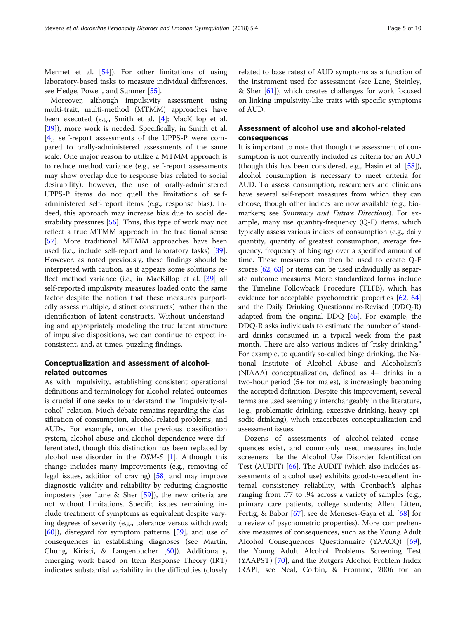Mermet et al. [[54\]](#page-9-0)). For other limitations of using laboratory-based tasks to measure individual differences, see Hedge, Powell, and Sumner [[55\]](#page-9-0).

Moreover, although impulsivity assessment using multi-trait, multi-method (MTMM) approaches have been executed (e.g., Smith et al. [[4\]](#page-8-0); MacKillop et al. [[39\]](#page-8-0)), more work is needed. Specifically, in Smith et al. [[4\]](#page-8-0), self-report assessments of the UPPS-P were compared to orally-administered assessments of the same scale. One major reason to utilize a MTMM approach is to reduce method variance (e.g., self-report assessments may show overlap due to response bias related to social desirability); however, the use of orally-administered UPPS-P items do not quell the limitations of selfadministered self-report items (e.g., response bias). Indeed, this approach may increase bias due to social desirability pressures [[56\]](#page-9-0). Thus, this type of work may not reflect a true MTMM approach in the traditional sense [[57\]](#page-9-0). More traditional MTMM approaches have been used (i.e., include self-report and laboratory tasks) [\[39](#page-8-0)]. However, as noted previously, these findings should be interpreted with caution, as it appears some solutions reflect method variance (i.e., in MacKillop et al. [\[39](#page-8-0)] all self-reported impulsivity measures loaded onto the same factor despite the notion that these measures purportedly assess multiple, distinct constructs) rather than the identification of latent constructs. Without understanding and appropriately modeling the true latent structure of impulsive dispositions, we can continue to expect inconsistent, and, at times, puzzling findings.

# Conceptualization and assessment of alcoholrelated outcomes

As with impulsivity, establishing consistent operational definitions and terminology for alcohol-related outcomes is crucial if one seeks to understand the "impulsivity-alcohol" relation. Much debate remains regarding the classification of consumption, alcohol-related problems, and AUDs. For example, under the previous classification system, alcohol abuse and alcohol dependence were differentiated, though this distinction has been replaced by alcohol use disorder in the DSM-5 [[1\]](#page-7-0). Although this change includes many improvements (e.g., removing of legal issues, addition of craving) [[58](#page-9-0)] and may improve diagnostic validity and reliability by reducing diagnostic imposters (see Lane & Sher [\[59](#page-9-0)]), the new criteria are not without limitations. Specific issues remaining include treatment of symptoms as equivalent despite varying degrees of severity (e.g., tolerance versus withdrawal; [[60\]](#page-9-0)), disregard for symptom patterns [\[59\]](#page-9-0), and use of consequences in establishing diagnoses (see Martin, Chung, Kirisci, & Langenbucher [[60](#page-9-0)]). Additionally, emerging work based on Item Response Theory (IRT) indicates substantial variability in the difficulties (closely related to base rates) of AUD symptoms as a function of the instrument used for assessment (see Lane, Steinley, & Sher [[61\]](#page-9-0)), which creates challenges for work focused on linking impulsivity-like traits with specific symptoms of AUD.

# Assessment of alcohol use and alcohol-related consequences

It is important to note that though the assessment of consumption is not currently included as criteria for an AUD (though this has been considered, e.g., Hasin et al. [[58](#page-9-0)]), alcohol consumption is necessary to meet criteria for AUD. To assess consumption, researchers and clinicians have several self-report measures from which they can choose, though other indices are now available (e.g., biomarkers; see Summary and Future Directions). For example, many use quantity-frequency (Q-F) items, which typically assess various indices of consumption (e.g., daily quantity, quantity of greatest consumption, average frequency, frequency of binging) over a specified amount of time. These measures can then be used to create Q-F scores [[62](#page-9-0), [63\]](#page-9-0) or items can be used individually as separate outcome measures. More standardized forms include the Timeline Followback Procedure (TLFB), which has evidence for acceptable psychometric properties [[62,](#page-9-0) [64](#page-9-0)] and the Daily Drinking Questionnaire-Revised (DDQ-R) adapted from the original DDQ [[65](#page-9-0)]. For example, the DDQ-R asks individuals to estimate the number of standard drinks consumed in a typical week from the past month. There are also various indices of "risky drinking." For example, to quantify so-called binge drinking, the National Institute of Alcohol Abuse and Alcoholism's (NIAAA) conceptualization, defined as 4+ drinks in a two-hour period (5+ for males), is increasingly becoming the accepted definition. Despite this improvement, several terms are used seemingly interchangeably in the literature, (e.g., problematic drinking, excessive drinking, heavy episodic drinking), which exacerbates conceptualization and assessment issues.

Dozens of assessments of alcohol-related consequences exist, and commonly used measures include screeners like the Alcohol Use Disorder Identification Test (AUDIT) [\[66\]](#page-9-0). The AUDIT (which also includes assessments of alcohol use) exhibits good-to-excellent internal consistency reliability, with Cronbach's alphas ranging from .77 to .94 across a variety of samples (e.g., primary care patients, college students; Allen, Litten, Fertig, & Babor [[67\]](#page-9-0); see de Meneses-Gaya et al. [[68\]](#page-9-0) for a review of psychometric properties). More comprehensive measures of consequences, such as the Young Adult Alcohol Consequences Questionnaire (YAACQ) [\[69](#page-9-0)], the Young Adult Alcohol Problems Screening Test (YAAPST) [[70\]](#page-9-0), and the Rutgers Alcohol Problem Index (RAPI; see Neal, Corbin, & Fromme, 2006 for an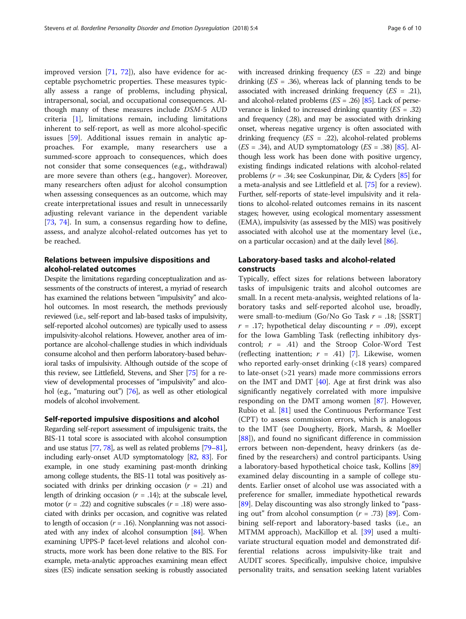improved version [[71,](#page-9-0) [72](#page-9-0)]), also have evidence for acceptable psychometric properties. These measures typically assess a range of problems, including physical, intrapersonal, social, and occupational consequences. Although many of these measures include DSM-5 AUD criteria [[1\]](#page-7-0), limitations remain, including limitations inherent to self-report, as well as more alcohol-specific issues [[59\]](#page-9-0). Additional issues remain in analytic approaches. For example, many researchers use a summed-score approach to consequences, which does not consider that some consequences (e.g., withdrawal) are more severe than others (e.g., hangover). Moreover, many researchers often adjust for alcohol consumption when assessing consequences as an outcome, which may create interpretational issues and result in unnecessarily adjusting relevant variance in the dependent variable [[73,](#page-9-0) [74\]](#page-9-0). In sum, a consensus regarding how to define, assess, and analyze alcohol-related outcomes has yet to be reached.

# Relations between impulsive dispositions and alcohol-related outcomes

Despite the limitations regarding conceptualization and assessments of the constructs of interest, a myriad of research has examined the relations between "impulsivity" and alcohol outcomes. In most research, the methods previously reviewed (i.e., self-report and lab-based tasks of impulsivity, self-reported alcohol outcomes) are typically used to assess impulsivity-alcohol relations. However, another area of importance are alcohol-challenge studies in which individuals consume alcohol and then perform laboratory-based behavioral tasks of impulsivity. Although outside of the scope of this review, see Littlefield, Stevens, and Sher [[75](#page-9-0)] for a review of developmental processes of "impulsivity" and alco-hol (e.g., "maturing out") [\[76\]](#page-9-0), as well as other etiological models of alcohol involvement.

## Self-reported impulsive dispositions and alcohol

Regarding self-report assessment of impulsigenic traits, the BIS-11 total score is associated with alcohol consumption and use status [\[77](#page-9-0), [78\]](#page-9-0), as well as related problems [[79](#page-9-0)–[81](#page-9-0)], including early-onset AUD symptomatology [\[82,](#page-9-0) [83\]](#page-9-0). For example, in one study examining past-month drinking among college students, the BIS-11 total was positively associated with drinks per drinking occasion ( $r = .21$ ) and length of drinking occasion  $(r = .14)$ ; at the subscale level, motor  $(r = .22)$  and cognitive subscales  $(r = .18)$  were associated with drinks per occasion, and cognitive was related to length of occasion  $(r = .16)$ . Nonplanning was not associated with any index of alcohol consumption [\[84\]](#page-9-0). When examining UPPS-P facet-level relations and alcohol constructs, more work has been done relative to the BIS. For example, meta-analytic approaches examining mean effect sizes (ES) indicate sensation seeking is robustly associated with increased drinking frequency  $(ES = .22)$  and binge drinking  $(ES = .36)$ , whereas lack of planning tends to be associated with increased drinking frequency  $(ES = .21)$ , and alcohol-related problems  $(ES = .26)$  [[85](#page-9-0)]. Lack of perseverance is linked to increased drinking quantity  $(ES = .32)$ and frequency (.28), and may be associated with drinking onset, whereas negative urgency is often associated with drinking frequency  $(ES = .22)$ , alcohol-related problems  $(ES = .34)$ , and AUD symptomatology  $(ES = .38)$  [[85](#page-9-0)]. Although less work has been done with positive urgency, existing findings indicated relations with alcohol-related problems ( $r = .34$ ; see Coskunpinar, Dir, & Cyders [\[85](#page-9-0)] for a meta-analysis and see Littlefield et al. [\[75](#page-9-0)] for a review). Further, self-reports of state-level impulsivity and it relations to alcohol-related outcomes remains in its nascent stages; however, using ecological momentary assessment (EMA), impulsivity (as assessed by the MIS) was positively associated with alcohol use at the momentary level (i.e., on a particular occasion) and at the daily level [[86](#page-9-0)].

# Laboratory-based tasks and alcohol-related constructs

Typically, effect sizes for relations between laboratory tasks of impulsigenic traits and alcohol outcomes are small. In a recent meta-analysis, weighted relations of laboratory tasks and self-reported alcohol use, broadly, were small-to-medium (Go/No Go Task  $r = .18$ ; [SSRT]  $r = .17$ ; hypothetical delay discounting  $r = .09$ ), except for the Iowa Gambling Task (reflecting inhibitory dyscontrol;  $r = .41$ ) and the Stroop Color-Word Test (reflecting inattention;  $r = .41$ ) [[7\]](#page-8-0). Likewise, women who reported early-onset drinking (<18 years) compared to late-onset (>21 years) made more commissions errors on the IMT and DMT [\[40\]](#page-8-0). Age at first drink was also significantly negatively correlated with more impulsive responding on the DMT among women [\[87](#page-9-0)]. However, Rubio et al. [\[81](#page-9-0)] used the Continuous Performance Test (CPT) to assess commission errors, which is analogous to the IMT (see Dougherty, Bjork, Marsh, & Moeller [[88\]](#page-9-0)), and found no significant difference in commission errors between non-dependent, heavy drinkers (as defined by the researchers) and control participants. Using a laboratory-based hypothetical choice task, Kollins [[89](#page-9-0)] examined delay discounting in a sample of college students. Earlier onset of alcohol use was associated with a preference for smaller, immediate hypothetical rewards [[89\]](#page-9-0). Delay discounting was also strongly linked to "passing out" from alcohol consumption  $(r = .73)$  [\[89](#page-9-0)]. Combining self-report and laboratory-based tasks (i.e., an MTMM approach), MacKillop et al. [[39](#page-8-0)] used a multivariate structural equation model and demonstrated differential relations across impulsivity-like trait and AUDIT scores. Specifically, impulsive choice, impulsive personality traits, and sensation seeking latent variables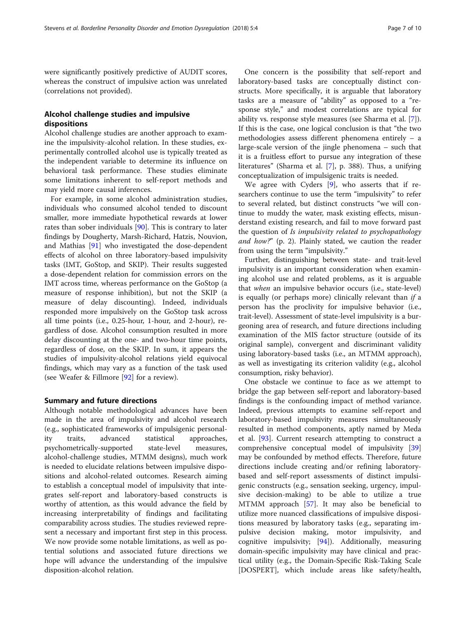were significantly positively predictive of AUDIT scores, whereas the construct of impulsive action was unrelated (correlations not provided).

# Alcohol challenge studies and impulsive dispositions

Alcohol challenge studies are another approach to examine the impulsivity-alcohol relation. In these studies, experimentally controlled alcohol use is typically treated as the independent variable to determine its influence on behavioral task performance. These studies eliminate some limitations inherent to self-report methods and may yield more causal inferences.

For example, in some alcohol administration studies, individuals who consumed alcohol tended to discount smaller, more immediate hypothetical rewards at lower rates than sober individuals [[90](#page-9-0)]. This is contrary to later findings by Dougherty, Marsh-Richard, Hatzis, Nouvion, and Mathias [[91](#page-9-0)] who investigated the dose-dependent effects of alcohol on three laboratory-based impulsivity tasks (IMT, GoStop, and SKIP). Their results suggested a dose-dependent relation for commission errors on the IMT across time, whereas performance on the GoStop (a measure of response inhibition), but not the SKIP (a measure of delay discounting). Indeed, individuals responded more impulsively on the GoStop task across all time points (i.e., 0.25-hour, 1-hour, and 2-hour), regardless of dose. Alcohol consumption resulted in more delay discounting at the one- and two-hour time points, regardless of dose, on the SKIP. In sum, it appears the studies of impulsivity-alcohol relations yield equivocal findings, which may vary as a function of the task used (see Weafer & Fillmore [\[92](#page-9-0)] for a review).

### Summary and future directions

Although notable methodological advances have been made in the area of impulsivity and alcohol research (e.g., sophisticated frameworks of impulsigenic personality traits, advanced statistical approaches, psychometrically-supported state-level measures, alcohol-challenge studies, MTMM designs), much work is needed to elucidate relations between impulsive dispositions and alcohol-related outcomes. Research aiming to establish a conceptual model of impulsivity that integrates self-report and laboratory-based constructs is worthy of attention, as this would advance the field by increasing interpretability of findings and facilitating comparability across studies. The studies reviewed represent a necessary and important first step in this process. We now provide some notable limitations, as well as potential solutions and associated future directions we hope will advance the understanding of the impulsive disposition-alcohol relation.

One concern is the possibility that self-report and laboratory-based tasks are conceptually distinct constructs. More specifically, it is arguable that laboratory tasks are a measure of "ability" as opposed to a "response style," and modest correlations are typical for ability vs. response style measures (see Sharma et al. [\[7](#page-8-0)]). If this is the case, one logical conclusion is that "the two methodologies assess different phenomena entirely – a large-scale version of the jingle phenomena – such that it is a fruitless effort to pursue any integration of these literatures" (Sharma et al. [[7\]](#page-8-0), p. 388). Thus, a unifying conceptualization of impulsigenic traits is needed.

We agree with Cyders [\[9](#page-8-0)], who asserts that if researchers continue to use the term "impulsivity" to refer to several related, but distinct constructs "we will continue to muddy the water, mask existing effects, misunderstand existing research, and fail to move forward past the question of Is impulsivity related to psychopathology and how?" (p. 2). Plainly stated, we caution the reader from using the term "impulsivity."

Further, distinguishing between state- and trait-level impulsivity is an important consideration when examining alcohol use and related problems, as it is arguable that when an impulsive behavior occurs (i.e., state-level) is equally (or perhaps more) clinically relevant than if a person has the proclivity for impulsive behavior (i.e., trait-level). Assessment of state-level impulsivity is a burgeoning area of research, and future directions including examination of the MIS factor structure (outside of its original sample), convergent and discriminant validity using laboratory-based tasks (i.e., an MTMM approach), as well as investigating its criterion validity (e.g., alcohol consumption, risky behavior).

One obstacle we continue to face as we attempt to bridge the gap between self-report and laboratory-based findings is the confounding impact of method variance. Indeed, previous attempts to examine self-report and laboratory-based impulsivity measures simultaneously resulted in method components, aptly named by Meda et al. [[93\]](#page-9-0). Current research attempting to construct a comprehensive conceptual model of impulsivity [[39](#page-8-0)] may be confounded by method effects. Therefore, future directions include creating and/or refining laboratorybased and self-report assessments of distinct impulsigenic constructs (e.g., sensation seeking, urgency, impulsive decision-making) to be able to utilize a true MTMM approach [\[57](#page-9-0)]. It may also be beneficial to utilize more nuanced classifications of impulsive dispositions measured by laboratory tasks (e.g., separating impulsive decision making, motor impulsivity, and cognitive impulsivity; [[94](#page-9-0)]). Additionally, measuring domain-specific impulsivity may have clinical and practical utility (e.g., the Domain-Specific Risk-Taking Scale [DOSPERT], which include areas like safety/health,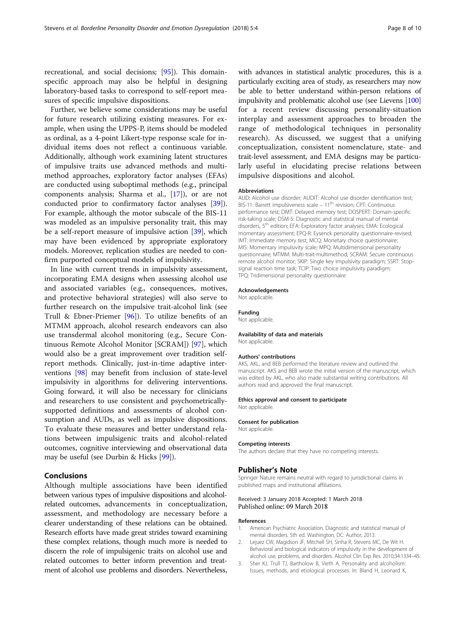<span id="page-7-0"></span>recreational, and social decisions; [[95\]](#page-9-0)). This domainspecific approach may also be helpful in designing laboratory-based tasks to correspond to self-report measures of specific impulsive dispositions.

Further, we believe some considerations may be useful for future research utilizing existing measures. For example, when using the UPPS-P, items should be modeled as ordinal, as a 4-point Likert-type response scale for individual items does not reflect a continuous variable. Additionally, although work examining latent structures of impulsive traits use advanced methods and multimethod approaches, exploratory factor analyses (EFAs) are conducted using suboptimal methods (e.g., principal components analysis; Sharma et al., [[17\]](#page-8-0)), or are not conducted prior to confirmatory factor analyses [\[39](#page-8-0)]). For example, although the motor subscale of the BIS-11 was modeled as an impulsive personality trait, this may be a self-report measure of impulsive action [\[39](#page-8-0)], which may have been evidenced by appropriate exploratory models. Moreover, replication studies are needed to confirm purported conceptual models of impulsivity.

In line with current trends in impulsivity assessment, incorporating EMA designs when assessing alcohol use and associated variables (e.g., consequences, motives, and protective behavioral strategies) will also serve to further research on the impulsive trait-alcohol link (see Trull & Ebner-Priemer [\[96\]](#page-9-0)). To utilize benefits of an MTMM approach, alcohol research endeavors can also use transdermal alcohol monitoring (e.g., Secure Continuous Remote Alcohol Monitor [SCRAM]) [[97\]](#page-9-0), which would also be a great improvement over tradition selfreport methods. Clinically, just-in-time adaptive interventions [[98\]](#page-9-0) may benefit from inclusion of state-level impulsivity in algorithms for delivering interventions. Going forward, it will also be necessary for clinicians and researchers to use consistent and psychometricallysupported definitions and assessments of alcohol consumption and AUDs, as well as impulsive dispositions. To evaluate these measures and better understand relations between impulsigenic traits and alcohol-related outcomes, cognitive interviewing and observational data may be useful (see Durbin & Hicks [[99](#page-9-0)]).

#### Conclusions

Although multiple associations have been identified between various types of impulsive dispositions and alcoholrelated outcomes, advancements in conceptualization, assessment, and methodology are necessary before a clearer understanding of these relations can be obtained. Research efforts have made great strides toward examining these complex relations, though much more is needed to discern the role of impulsigenic traits on alcohol use and related outcomes to better inform prevention and treatment of alcohol use problems and disorders. Nevertheless,

with advances in statistical analytic procedures, this is a particularly exciting area of study, as researchers may now be able to better understand within-person relations of impulsivity and problematic alcohol use (see Lievens [\[100](#page-9-0)] for a recent review discussing personality-situation interplay and assessment approaches to broaden the range of methodological techniques in personality research). As discussed, we suggest that a unifying conceptualization, consistent nomenclature, state- and trait-level assessment, and EMA designs may be particularly useful in elucidating precise relations between impulsive dispositions and alcohol.

#### Abbreviations

AUD: Alcohol use disorder; AUDIT: Alcohol use disorder identification test; BIS-11: Barrett impulsiveness scale  $-11<sup>th</sup>$  revision; CPT: Continuous performance test; DMT: Delayed memory test; DOSPERT: Domain-specific risk-taking scale; DSM-5: Diagnostic and statistical manual of mental disorders, 5th edition; EFA: Exploratory factor analyses; EMA: Ecological momentary assessment; EPQ-R: Eysenck personality questionnaire-revised; IMT: Immediate memory test; MCQ: Monetary choice questionnaire; MIS: Momentary impulsivity scale; MPQ: Multidimensional personality questionnaire; MTMM: Multi-trait-multimethod; SCRAM: Secure continuous remote alcohol monitor; SKIP: Single key impulsivity paradigm; SSRT: Stopsignal reaction time task; TCIP: Two choice impulsivity paradigm; TPQ: Tridimensional personality questionnaire

#### Acknowledgements

Not applicable.

#### Funding

Not applicable.

# Availability of data and materials

Not applicable.

#### Authors' contributions

AKS, AKL, and BEB performed the literature review and outlined the manuscript. AKS and BEB wrote the initial version of the manuscript, which was edited by AKL, who also made substantial writing contributions. All authors read and approved the final manuscript.

#### Ethics approval and consent to participate

Not applicable.

#### Consent for publication

Not applicable.

#### Competing interests

The authors declare that they have no competing interests.

#### Publisher's Note

Springer Nature remains neutral with regard to jurisdictional claims in published maps and institutional affiliations.

#### Received: 3 January 2018 Accepted: 1 March 2018 Published online: 09 March 2018

#### References

- 1. American Psychiatric Association. Diagnostic and statistical manual of mental disorders. 5th ed. Washington, DC: Author; 2013.
- 2. Lejuez CW, Magidson JF, Mitchell SH, Sinha R, Stevens MC, De Wit H. Behavioral and biological indicators of impulsivity in the development of alcohol use, problems, and disorders. Alcohol Clin Exp Res. 2010;34:1334–45.
- 3. Sher KJ, Trull TJ, Bartholow B, Vieth A. Personality and alcoholism: Issues, methods, and etiological processes. In: Bland H, Leonard K,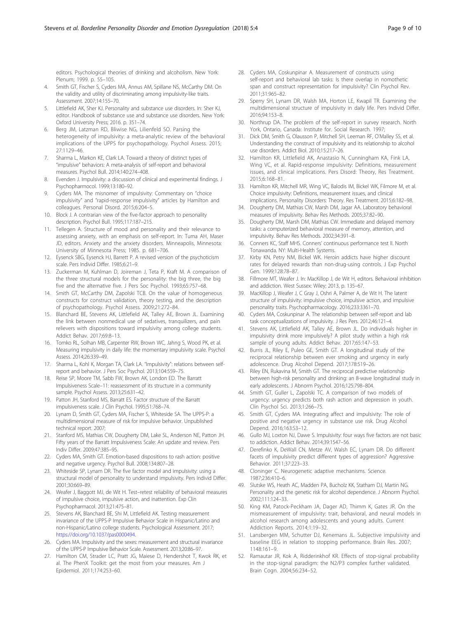<span id="page-8-0"></span>editors. Psychological theories of drinking and alcoholism. New York: Plenum; 1999. p. 55–105.

- 4. Smith GT, Fischer S, Cyders MA, Annus AM, Spillane NS, McCarthy DM. On the validity and utility of discriminating among impulsivity-like traits. Assessment. 2007;14:155–70.
- 5. Littlefield AK, Sher KJ. Personality and substance use disorders. In: Sher KJ, editor. Handbook of substance use and substance use disorders. New York: Oxford University Press; 2016. p. 351–74.
- 6. Berg JM, Latzman RD, Bliwise NG, Lilienfeld SO. Parsing the heterogeneity of impulsivity: a meta-analytic review of the behavioral implications of the UPPS for psychopathology. Psychol Assess. 2015; 27:1129–46.
- 7. Sharma L, Markon KE, Clark LA. Toward a theory of distinct types of "impulsive" behaviors: A meta-analysis of self-report and behavioral measures. Psychol Bull. 2014;140:274–408.
- Evenden J. Impulsivity: a discussion of clinical and experimental findings. J Psychopharmocol. 1999;13:180–92.
- Cyders MA. The misnomer of impulsivity: Commentary on "choice impulsivity" and "rapid-response impulsivity" articles by Hamilton and colleagues. Personal Disord. 2015;6:204–5.
- 10. Block J. A contrarian view of the five-factor approach to personality description. Psychol Bull. 1995;117:187–215.
- 11. Tellegen A. Structure of mood and personality and their relevance to assessing anxiety, with an emphasis on self-report. In: Tuma AH, Maser JD, editors. Anxiety and the anxiety disorders. Minneapolis, Minnesota: University of Minnesota Press; 1985. p. 681–706.
- 12. Eysenck SBG, Eysenck HJ, Barrett P. A revised version of the psychoticism scale. Pers Individ Differ. 1985;6:21–9.
- 13. Zuckerman M, Kuhlman D, Joireman J, Teta P, Kraft M. A comparison of the three structural models for the personality: the big three, the big five and the alternative five. J Pers Soc Psychol. 1993;65:757–68.
- 14. Smith GT, McCarthy DM, Zapolski TCB. On the value of homogeneous constructs for construct validation, theory testing, and the description of psychopathology. Psychol Assess. 2009;21:272–84.
- 15. Blanchard BE, Stevens AK, Littlefield AK, Talley AE, Brown JL. Examining the link between nonmedical use of sedatives, tranquilizers, and pain relievers with dispositions toward impulsivity among college students. Addict Behav. 2017;69:8–13.
- 16. Tomko RL, Solhan MB, Carpenter RW, Brown WC, Jahng S, Wood PK, et al. Measuring impulsivity in daily life: the momentary impulsivity scale. Psychol Assess. 2014;26:339–49.
- 17. Sharma L, Kohl K, Morgan TA, Clark LA. "Impulsivity": relations between selfreport and behavior. J Pers Soc Psychol. 2013;104:559–75.
- 18. Reise SP, Moore TM, Sabb FW, Brown AK, London ED. The Barratt Impulsiveness Scale–11: reassessment of its structure in a community sample. Psychol Assess. 2013;25:631–42.
- Patton JH, Stanford MS, Barratt ES. Factor structure of the Barratt impulsiveness scale. J Clin Psychol. 1995;51:768–74.
- 20. Lynam D, Smith GT, Cyders MA, Fischer S, Whiteside SA. The UPPS-P: a multidimensional measure of risk for impulsive behavior. Unpublished technical report. 2007;
- 21. Stanford MS, Mathias CW, Dougherty DM, Lake SL, Anderson NE, Patton JH. Fifty years of the Barratt Impulsiveness Scale: An update and review. Pers Indiv Differ. 2009;47:385–95.
- 22. Cyders MA, Smith GT. Emotion-based dispositions to rash action: positive and negative urgency. Psychol Bull. 2008;134:807–28.
- 23. Whiteside SP, Lynam DR. The five factor model and impulsivity: using a structural model of personality to understand impulsivity. Pers Individ Differ. 2001;30:669–89.
- 24. Weafer J, Baggott MJ, de Wit H. Test–retest reliability of behavioral measures of impulsive choice, impulsive action, and inattention. Exp Clin Psychopharmacol. 2013;21:475–81.
- 25. Stevens AK, Blanchard BE, Shi M, Littlefield AK. Testing measurement invariance of the UPPS-P Impulsive Behavior Scale in Hispanic/Latino and non-Hispanic/Latino college students. Psychological Assessment. 2017; <https://doi.org/10.1037/pas0000494>.
- 26. Cyders MA. Impulsivity and the sexes: measurement and structural invariance of the UPPS-P Impulsive Behavior Scale. Assessment. 2013;20:86–97.
- 27. Hamilton CM, Strader LC, Pratt JG, Maiese D, Hendershot T, Kwok RK, et al. The PhenX Toolkit: get the most from your measures. Am J Epidemiol. 2011;174:253–60.
- 28. Cyders MA, Coskunpinar A. Measurement of constructs using self-report and behavioral lab tasks: Is there overlap in nomothetic span and construct representation for impulsivity? Clin Psychol Rev. 2011;31:965–82.
- 29. Sperry SH, Lynam DR, Walsh MA, Horton LE, Kwapil TR. Examining the multidimensional structure of impulsivity in daily life. Pers Individ Differ. 2016;94:153–8.
- 30. Northrup DA. The problem of the self-report in survey research. North York, Ontario, Canada: Institute for. Social Research. 1997;
- 31. Dick DM, Smith G, Olausson P, Mitchell SH, Leeman RF, O'Malley SS, et al. Understanding the construct of impulsivity and its relationship to alcohol use disorders. Addict Biol. 2010;15:217–26.
- 32. Hamilton KR, Littlefield AK, Anastasio N, Cunningham KA, Fink LA, Wing VC, et al. Rapid-response impulsivity: Definitions, measurement issues, and clinical implications. Pers Disord: Theory, Res Treatment. 2015;6:168–81.
- 33. Hamilton KR, Mitchell MR, Wing VC, Balodis IM, Bickel WK, Filmore M, et al. Choice impulsivity: Definitions, measurement issues, and clinical implications. Personality Disorders: Theory. Res Treatment. 2015;6:182–98.
- 34. Dougherty DM, Mathias CW, Marsh DM, Jagar AA. Laboratory behavioral measures of impulsivity. Behav Res Methods. 2005;37:82–90.
- 35. Dougherty DM, Marsh DM, Mathias CW. Immediate and delayed memory tasks: a computerized behavioral measure of memory, attention, and impulsivity. Behav Res Methods. 2002;34:391–8.
- 36. Conners KC, Staff MHS. Conners' continuous performance test II. North Tonawanda. NY: Multi-Health Systems.
- 37. Kirby KN, Petry NM, Bickel WK. Heroin addicts have higher discount rates for delayed rewards than non-drug-using controls. J Exp Psychol Gen. 1999;128:78–87.
- 38. Fillmore MT, Weafer J. In: MacKillop J, de Wit H, editors. Behavioral inhibition and addiction. West Sussex: Wiley; 2013, p. 135–67.
- 39. MacKillop J, Weafer J, C Gray J, Oshri A, Palmer A, de Wit H. The latent structure of impulsivity: impulsive choice, impulsive action, and impulsive personality traits. Psychopharmacology. 2016;233:3361–70.
- 40. Cyders MA, Coskunpinar A. The relationship between self-report and lab task conceptualizations of impulsivity. J Res Pers. 2012;46:121–4.
- 41. Stevens AK, Littlefield AK, Talley AE, Brown JL. Do individuals higher in impulsivity drink more impulsively? A pilot study within a high risk sample of young adults. Addict Behav. 2017;65:147–53.
- 42. Burris JL, Riley E, Puleo GE, Smith GT. A longitudinal study of the reciprocal relationship between ever smoking and urgency in early adolescence. Drug Alcohol Depend. 2017;178:519–26.
- 43. Riley EN, Rukavina M, Smith GT. The reciprocal predictive relationship between high-risk personality and drinking: an 8-wave longitudinal study in early adolescents. J Abnorm Psychol. 2016;125:798–804.
- 44. Smith GT, Guller L, Zapolski TC. A comparison of two models of urgency: urgency predicts both rash action and depression in youth. Clin Psychol Sci. 2013;1:266–75.
- 45. Smith GT, Cyders MA. Integrating affect and impulsivity: The role of positive and negative urgency in substance use risk. Drug Alcohol Depend. 2016;163:S3–12.
- 46. Gullo MJ, Loxton NJ, Dawe S. Impulsivity: four ways five factors are not basic to addiction. Addict Behav. 2014;39:1547–56.
- 47. Derefinko K, DeWall CN, Metze AV, Walsh EC, Lynam DR. Do different facets of impulsivity predict different types of aggression? Aggressive Behavior. 2011;37:223–33.
- 48. Cloninger C. Neurogenetic adaptive mechanisms. Science. 1987;236:410–6.
- 49. Slutske WS, Heath AC, Madden PA, Bucholz KK, Statham DJ, Martin NG. Personality and the genetic risk for alcohol dependence. J Abnorm Psychol. 2002;111:124–33.
- 50. King KM, Patock-Peckham JA, Dager AD, Thimm K, Gates JR. On the mismeasurement of impulsivity: trait, behavioral, and neural models in alcohol research among adolescents and young adults. Current Addiction Reports. 2014;1:19–32.
- 51. Lansbergen MM, Schutter DJ, Kenemans JL. Subjective impulsivity and baseline EEG in relation to stopping performance. Brain Res. 2007; 1148:161–9.
- 52. Ramautar JR, Kok A, Ridderinkhof KR. Effects of stop-signal probability in the stop-signal paradigm: the N2/P3 complex further validated. Brain Cogn. 2004;56:234–52.